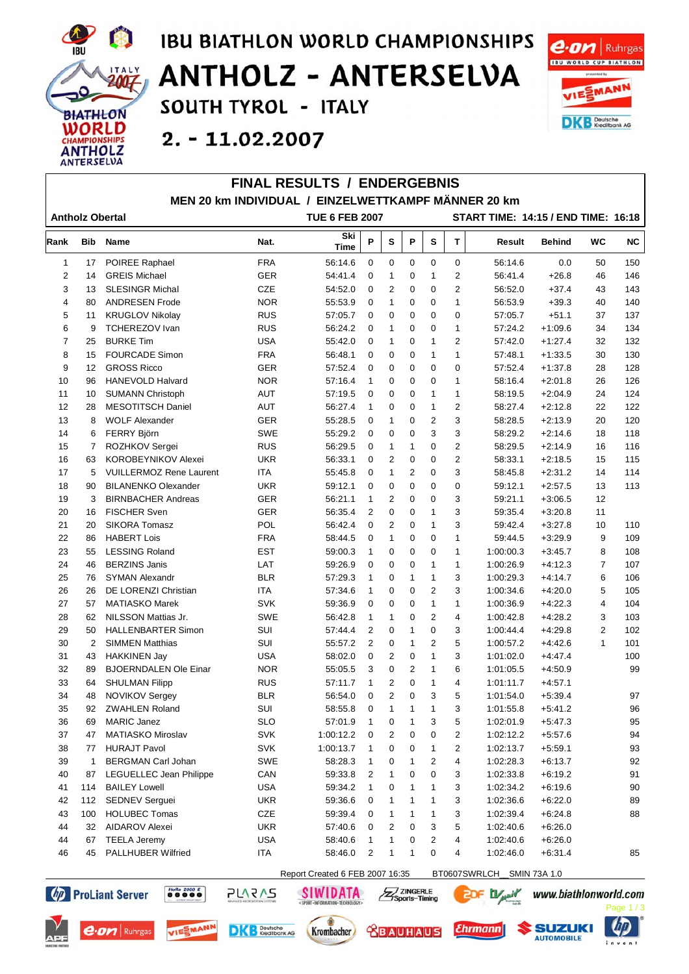

 $\Gamma$ 

## **IBU BIATHLON WORLD CHAMPIONSHIPS ANTHOLZ - ANTERSELVA** SOUTH TYROL - ITALY

FILIAL BEQUITO / FUBERAERUIO



 $2. - 11.02.2007$ 

| <b>FINAL RESULIS / ENDERGEDNIS</b><br>MEN 20 km INDIVIDUAL / EINZELWETTKAMPF MÄNNER 20 km |                |                                |            |                                 |                |                |                |                |                |                           |               |                |           |
|-------------------------------------------------------------------------------------------|----------------|--------------------------------|------------|---------------------------------|----------------|----------------|----------------|----------------|----------------|---------------------------|---------------|----------------|-----------|
| <b>TUE 6 FEB 2007</b><br>START TIME: 14:15 / END TIME: 16:18<br><b>Antholz Obertal</b>    |                |                                |            |                                 |                |                |                |                |                |                           |               |                |           |
| Rank                                                                                      | <b>Bib</b>     | <b>Name</b>                    | Nat.       | Ski<br><b>Time</b>              | P              | S              | P              | ${\bf s}$      | $\mathsf T$    | <b>Result</b>             | <b>Behind</b> | <b>WC</b>      | <b>NC</b> |
| 1                                                                                         | 17             | POIREE Raphael                 | <b>FRA</b> | 56:14.6                         | $\Omega$       | $\mathbf 0$    | $\mathbf 0$    | 0              | $\mathbf 0$    | 56:14.6                   | 0.0           | 50             | 150       |
| 2                                                                                         | 14             | <b>GREIS Michael</b>           | <b>GER</b> | 54:41.4                         | $\Omega$       | $\mathbf 1$    | 0              | 1              | 2              | 56:41.4                   | $+26.8$       | 46             | 146       |
| 3                                                                                         | 13             | <b>SLESINGR Michal</b>         | CZE        | 54:52.0                         | $\mathbf 0$    | 2              | 0              | 0              | $\overline{2}$ | 56:52.0                   | $+37.4$       | 43             | 143       |
| $\overline{4}$                                                                            | 80             | <b>ANDRESEN Frode</b>          | <b>NOR</b> | 55:53.9                         | $\mathbf 0$    | $\mathbf{1}$   | $\mathbf 0$    | $\mathbf 0$    | $\mathbf{1}$   | 56:53.9                   | $+39.3$       | 40             | 140       |
| 5                                                                                         | 11             | <b>KRUGLOV Nikolay</b>         | <b>RUS</b> | 57:05.7                         | 0              | 0              | 0              | 0              | 0              | 57:05.7                   | $+51.1$       | 37             | 137       |
| 6                                                                                         | 9              | <b>TCHEREZOV Ivan</b>          | <b>RUS</b> | 56:24.2                         | $\mathbf 0$    | $\mathbf{1}$   | $\overline{0}$ | $\mathbf 0$    | $\mathbf{1}$   | 57:24.2                   | $+1:09.6$     | 34             | 134       |
| $\overline{7}$                                                                            | 25             | <b>BURKE Tim</b>               | <b>USA</b> | 55:42.0                         | $\mathbf 0$    | $\mathbf{1}$   | 0              | $\mathbf{1}$   | $\overline{2}$ | 57:42.0                   | $+1:27.4$     | 32             | 132       |
| 8                                                                                         | 15             | <b>FOURCADE Simon</b>          | <b>FRA</b> | 56:48.1                         | $\mathbf 0$    | 0              | 0              | 1              | $\mathbf{1}$   | 57:48.1                   | $+1:33.5$     | 30             | 130       |
| 9                                                                                         | 12             | <b>GROSS Ricco</b>             | <b>GER</b> | 57:52.4                         | $\mathbf 0$    | $\mathbf 0$    | $\mathbf 0$    | 0              | $\mathbf 0$    | 57:52.4                   | $+1:37.8$     | 28             | 128       |
| 10                                                                                        | 96             | <b>HANEVOLD Halvard</b>        | <b>NOR</b> | 57:16.4                         | $\mathbf{1}$   | $\mathbf 0$    | 0              | 0              | $\mathbf 1$    | 58:16.4                   | $+2:01.8$     | 26             | 126       |
| 11                                                                                        | 10             | <b>SUMANN Christoph</b>        | <b>AUT</b> | 57:19.5                         | $\mathbf 0$    | 0              | 0              | $\mathbf{1}$   | $\mathbf{1}$   | 58:19.5                   | $+2:04.9$     | 24             | 124       |
| 12                                                                                        | 28             | <b>MESOTITSCH Daniel</b>       | <b>AUT</b> | 56:27.4                         | $\mathbf{1}$   | 0              | 0              | 1              | $\overline{2}$ | 58:27.4                   | $+2:12.8$     | 22             | 122       |
| 13                                                                                        | 8              | <b>WOLF Alexander</b>          | <b>GER</b> | 55:28.5                         | $\mathbf 0$    | $\mathbf{1}$   | $\mathbf 0$    | $\overline{2}$ | 3              | 58:28.5                   | $+2:13.9$     | 20             | 120       |
| 14                                                                                        | 6              | <b>FERRY Björn</b>             | <b>SWE</b> | 55:29.2                         | $\mathbf 0$    | 0              | 0              | 3              | 3              | 58:29.2                   | $+2:14.6$     | 18             | 118       |
| 15                                                                                        | 7              | ROZHKOV Sergei                 | <b>RUS</b> | 56:29.5                         | $\mathbf 0$    | $\mathbf 1$    | 1              | $\mathbf 0$    | $\overline{2}$ | 58:29.5                   | $+2:14.9$     | 16             | 116       |
| 16                                                                                        | 63             | <b>KOROBEYNIKOV Alexei</b>     | <b>UKR</b> | 56:33.1                         | 0              | $\overline{2}$ | 0              | 0              | $\overline{2}$ | 58:33.1                   | $+2:18.5$     | 15             | 115       |
| 17                                                                                        | 5              | <b>VUILLERMOZ Rene Laurent</b> | ITA        | 55:45.8                         | $\mathbf 0$    | $\mathbf{1}$   | $\overline{2}$ | $\mathbf 0$    | 3              | 58:45.8                   | $+2:31.2$     | 14             | 114       |
| 18                                                                                        | 90             | <b>BILANENKO Olexander</b>     | <b>UKR</b> | 59:12.1                         | $\mathbf 0$    | $\mathbf 0$    | $\mathbf 0$    | 0              | $\mathbf 0$    | 59:12.1                   | $+2:57.5$     | 13             | 113       |
| 19                                                                                        | 3              | <b>BIRNBACHER Andreas</b>      | <b>GER</b> | 56:21.1                         | $\mathbf{1}$   | 2              | $\mathbf 0$    | 0              | 3              | 59:21.1                   | $+3:06.5$     | 12             |           |
| 20                                                                                        | 16             | <b>FISCHER Sven</b>            | <b>GER</b> | 56:35.4                         | $\overline{2}$ | 0              | 0              | $\mathbf{1}$   | 3              | 59:35.4                   | $+3:20.8$     | 11             |           |
| 21                                                                                        | 20             | <b>SIKORA Tomasz</b>           | POL        | 56:42.4                         | 0              | 2              | 0              | $\mathbf{1}$   | 3              | 59:42.4                   | $+3:27.8$     | 10             | 110       |
| 22                                                                                        | 86             | <b>HABERT Lois</b>             | <b>FRA</b> | 58:44.5                         | 0              | $\mathbf 1$    | 0              | 0              | $\mathbf{1}$   | 59:44.5                   | $+3:29.9$     | 9              | 109       |
| 23                                                                                        | 55             | <b>LESSING Roland</b>          | EST        | 59:00.3                         | $\mathbf{1}$   | 0              | 0              | 0              | $\mathbf 1$    | 1:00:00.3                 | $+3:45.7$     | 8              | 108       |
| 24                                                                                        | 46             | <b>BERZINS Janis</b>           | LAT        | 59:26.9                         | $\mathbf 0$    | 0              | $\overline{0}$ | 1              | $\mathbf{1}$   | 1:00:26.9                 | $+4:12.3$     | $\overline{7}$ | 107       |
| 25                                                                                        | 76             | <b>SYMAN Alexandr</b>          | <b>BLR</b> | 57:29.3                         | $\mathbf{1}$   | $\mathbf 0$    | $\mathbf{1}$   | $\mathbf{1}$   | 3              | 1:00:29.3                 | $+4:14.7$     | 6              | 106       |
| 26                                                                                        | 26             | DE LORENZI Christian           | <b>ITA</b> | 57:34.6                         | $\mathbf{1}$   | 0              | 0              | 2              | 3              | 1:00:34.6                 | $+4:20.0$     | 5              | 105       |
| 27                                                                                        | 57             | <b>MATIASKO Marek</b>          | <b>SVK</b> | 59:36.9                         | $\mathbf 0$    | $\mathbf 0$    | 0              | $\mathbf{1}$   | $\mathbf 1$    | 1:00:36.9                 | $+4:22.3$     | 4              | 104       |
| 28                                                                                        | 62             | NILSSON Mattias Jr.            | <b>SWE</b> | 56:42.8                         | $\mathbf{1}$   | $\mathbf 1$    | 0              | 2              | 4              | 1:00:42.8                 | $+4:28.2$     | 3              | 103       |
| 29                                                                                        | 50             | <b>HALLENBARTER Simon</b>      | SUI        | 57:44.4                         | $\overline{2}$ | $\mathbf 0$    | 1              | 0              | 3              | 1:00:44.4                 | $+4:29.8$     | 2              | 102       |
| 30                                                                                        | $\overline{2}$ | <b>SIMMEN Matthias</b>         | SUI        | 55:57.2                         | $\overline{2}$ | 0              | 1              | 2              | 5              | 1:00:57.2                 | $+4:42.6$     | $\mathbf{1}$   | 101       |
| 31                                                                                        | 43             | <b>HAKKINEN Jay</b>            | <b>USA</b> | 58:02.0                         | 0              | 2              | 0              | $\mathbf{1}$   | 3              | 1:01:02.0                 | $+4:47.4$     |                | 100       |
| 32                                                                                        | 89             | <b>BJOERNDALEN Ole Einar</b>   | <b>NOR</b> | 55:05.5                         | 3              | 0              | 2              | 1              | 6              | 1:01:05.5                 | $+4:50.9$     |                | 99        |
| 33                                                                                        | 64             | <b>SHULMAN Filipp</b>          | <b>RUS</b> | 57:11.7                         | 1              | $\overline{2}$ | $\overline{0}$ | $\mathbf{1}$   | $\overline{4}$ | 1:01:11.7                 | $+4:57.1$     |                |           |
| 34                                                                                        | 48             | <b>NOVIKOV Sergey</b>          | <b>BLR</b> | 56:54.0                         | $\Omega$       | $\overline{2}$ | 0              | 3              | 5              | 1:01:54.0                 | $+5:39.4$     |                | 97        |
| 35                                                                                        | 92             | ZWAHLEN Roland                 | SUI        | 58:55.8                         | 0              | $\mathbf{1}$   | 1              | $\mathbf{1}$   | 3              | 1:01:55.8                 | $+5:41.2$     |                | 96        |
| 36                                                                                        | 69             | <b>MARIC Janez</b>             | <b>SLO</b> | 57:01.9                         | 1              | 0              | 1              | 3              | 5              | 1:02:01.9                 | $+5:47.3$     |                | 95        |
| 37                                                                                        | 47             | MATIASKO Miroslav              | <b>SVK</b> | 1:00:12.2                       | 0              | 2              | 0              | 0              | 2              | 1:02:12.2                 | $+5:57.6$     |                | 94        |
| 38                                                                                        | 77             | <b>HURAJT Pavol</b>            | <b>SVK</b> | 1:00:13.7                       | 1              | 0              | 0              | 1              | 2              | 1:02:13.7                 | $+5:59.1$     |                | 93        |
| 39                                                                                        | $\mathbf{1}$   | <b>BERGMAN Carl Johan</b>      | SWE        | 58:28.3                         |                | 0              | 1              | 2              | 4              | 1:02:28.3                 | $+6:13.7$     |                | 92        |
| 40                                                                                        | 87             | <b>LEGUELLEC Jean Philippe</b> | CAN        | 59:33.8                         | 2              | 1              | 0              | 0              | 3              | 1:02:33.8                 | $+6:19.2$     |                | 91        |
| 41                                                                                        | 114            | <b>BAILEY Lowell</b>           | USA        | 59:34.2                         | $\mathbf{1}$   | 0              | $\mathbf{1}$   | 1              | 3              | 1:02:34.2                 | $+6:19.6$     |                | 90        |
| 42                                                                                        | 112            | <b>SEDNEV Serquei</b>          | <b>UKR</b> | 59:36.6                         | 0              | 1              | 1              | 1              | 3              | 1:02:36.6                 | $+6:22.0$     |                | 89        |
| 43                                                                                        | 100            | <b>HOLUBEC Tomas</b>           | CZE        | 59:39.4                         | 0              | $\mathbf{1}$   | 1              | 1              | 3              | 1:02:39.4                 | $+6:24.8$     |                | 88        |
| 44                                                                                        | 32             | AIDAROV Alexei                 | UKR        | 57:40.6                         | 0              | 2              | 0              | 3              | 5              | 1:02:40.6                 | $+6:26.0$     |                |           |
| 44                                                                                        | 67             | <b>TEELA Jeremy</b>            | USA        | 58:40.6                         | $\mathbf{1}$   | $\mathbf{1}$   | 0              | 2              | 4              | 1:02:40.6                 | $+6:26.0$     |                |           |
| 46                                                                                        | 45             | <b>PALLHUBER Wilfried</b>      | <b>ITA</b> | 58:46.0                         | 2              | 1              | 1              | 0              | 4              | 1:02:46.0                 | $+6:31.4$     |                | 85        |
|                                                                                           |                |                                |            | Report Created 6 FFB 2007 16:35 |                |                |                |                |                | BT0607SWRLCH SMIN 73A 1.0 |               |                |           |



(bp) ProLiant Server



**PLARAS** 

 $\begin{array}{|c|c|c|}\n\hline\nHoRa & 2000 & E \\
\hline\n\bullet & \bullet & \bullet & \bullet\n\end{array}$ 



**SIWIDATA** 





**EDF Lywir** 

Z ZINGERLE



**AUTOMOBILE**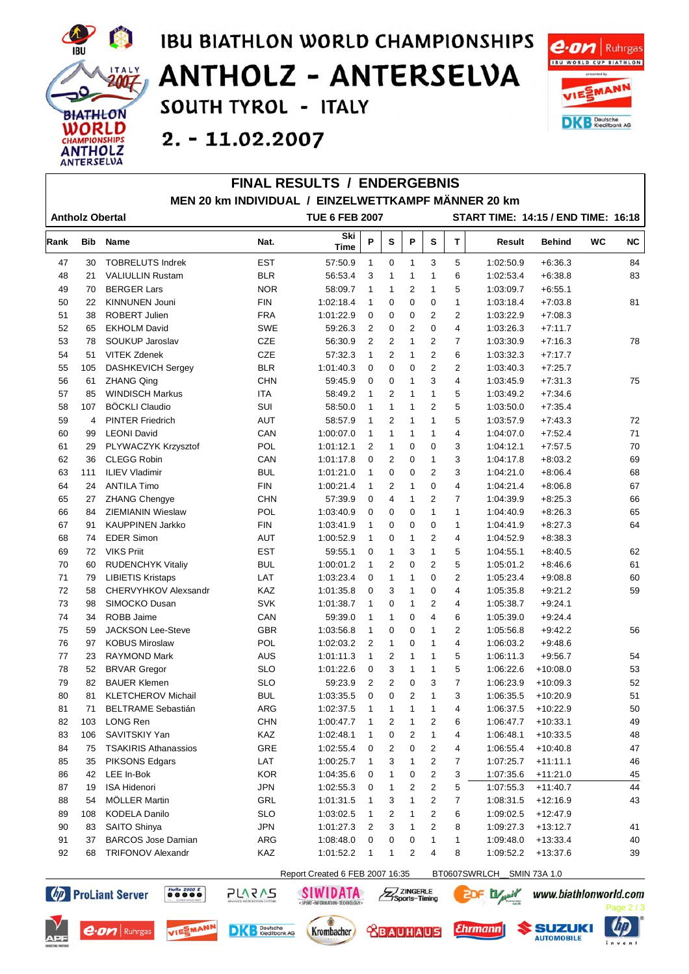

## **IBU BIATHLON WORLD CHAMPIONSHIPS ANTHOLZ - ANTERSELVA** SOUTH TYROL - ITALY



 $2. - 11.02.2007$ 

|      |            |                             | <b>FINAL RESULTS / ENDERGEBNIS</b>                  |                                 |                |                         |                |                |                         |                                            |               |           |           |
|------|------------|-----------------------------|-----------------------------------------------------|---------------------------------|----------------|-------------------------|----------------|----------------|-------------------------|--------------------------------------------|---------------|-----------|-----------|
|      |            |                             | MEN 20 km INDIVIDUAL / EINZELWETTKAMPF MÄNNER 20 km |                                 |                |                         |                |                |                         |                                            |               |           |           |
|      |            | <b>Antholz Obertal</b>      |                                                     | <b>TUE 6 FEB 2007</b>           |                |                         |                |                |                         | <b>START TIME: 14:15 / END TIME: 16:18</b> |               |           |           |
| Rank | <b>Bib</b> | <b>Name</b>                 | Nat.                                                | Ski<br>Time                     | P              | S                       | P              | s              | T.                      | Result                                     | <b>Behind</b> | <b>WC</b> | <b>NC</b> |
| 47   | 30         | <b>TOBRELUTS Indrek</b>     | <b>EST</b>                                          | 57:50.9                         | $\mathbf{1}$   | $\mathbf 0$             | $\mathbf{1}$   | 3              | 5                       | 1:02:50.9                                  | $+6:36.3$     |           | 84        |
| 48   | 21         | <b>VALIULLIN Rustam</b>     | <b>BLR</b>                                          | 56:53.4                         | 3              | $\mathbf{1}$            | $\mathbf{1}$   | $\mathbf{1}$   | 6                       | 1:02:53.4                                  | $+6:38.8$     |           | 83        |
| 49   | 70         | <b>BERGER Lars</b>          | <b>NOR</b>                                          | 58:09.7                         | $\mathbf{1}$   | $\mathbf{1}$            | 2              | $\mathbf{1}$   | 5                       | 1:03:09.7                                  | $+6:55.1$     |           |           |
| 50   | 22         | <b>KINNUNEN Jouni</b>       | <b>FIN</b>                                          | 1:02:18.4                       | $\mathbf{1}$   | $\mathbf 0$             | 0              | 0              | $\mathbf{1}$            | 1:03:18.4                                  | $+7:03.8$     |           | 81        |
| 51   | 38         | <b>ROBERT Julien</b>        | <b>FRA</b>                                          | 1:01:22.9                       | 0              | $\mathbf 0$             | 0              | $\overline{2}$ | $\overline{2}$          | 1:03:22.9                                  | $+7:08.3$     |           |           |
| 52   | 65         | <b>EKHOLM David</b>         | <b>SWE</b>                                          | 59:26.3                         | $\overline{2}$ | $\mathbf 0$             | $\overline{2}$ | 0              | $\overline{4}$          | 1:03:26.3                                  | $+7:11.7$     |           |           |
| 53   | 78         | SOUKUP Jaroslav             | <b>CZE</b>                                          | 56:30.9                         | 2              | $\overline{2}$          | 1              | $\overline{2}$ | $\overline{7}$          | 1:03:30.9                                  | $+7:16.3$     |           | 78        |
| 54   | 51         | <b>VITEK Zdenek</b>         | <b>CZE</b>                                          | 57:32.3                         | $\mathbf{1}$   | $\overline{2}$          | $\mathbf{1}$   | $\overline{2}$ | 6                       | 1:03:32.3                                  | $+7:17.7$     |           |           |
| 55   | 105        | DASHKEVICH Sergey           | <b>BLR</b>                                          | 1:01:40.3                       | $\mathbf 0$    | $\mathbf 0$             | 0              | $\overline{2}$ | $\overline{2}$          | 1:03:40.3                                  | $+7:25.7$     |           |           |
| 56   | 61         | <b>ZHANG Qing</b>           | <b>CHN</b>                                          | 59:45.9                         | 0              | $\mathbf 0$             | 1              | 3              | $\overline{4}$          | 1:03:45.9                                  | $+7:31.3$     |           | 75        |
| 57   | 85         | <b>WINDISCH Markus</b>      | ITA                                                 | 58:49.2                         | $\mathbf{1}$   | $\overline{2}$          | $\mathbf{1}$   | $\mathbf{1}$   | 5                       | 1:03:49.2                                  | $+7:34.6$     |           |           |
| 58   | 107        | <b>BÖCKLI Claudio</b>       | SUI                                                 | 58:50.0                         | $\mathbf{1}$   | $\mathbf{1}$            | 1              | $\overline{2}$ | 5                       | 1:03:50.0                                  | $+7:35.4$     |           |           |
| 59   | 4          | <b>PINTER Friedrich</b>     | <b>AUT</b>                                          | 58:57.9                         | $\mathbf{1}$   | $\overline{2}$          | $\mathbf{1}$   | $\mathbf{1}$   | 5                       | 1:03:57.9                                  | $+7:43.3$     |           | 72        |
| 60   | 99         | <b>LEONI David</b>          | CAN                                                 | 1:00:07.0                       | $\mathbf{1}$   | $\mathbf{1}$            | 1              | 1              | $\overline{4}$          | 1:04:07.0                                  | $+7:52.4$     |           | 71        |
| 61   | 29         | PLYWACZYK Krzysztof         | POL                                                 | 1:01:12.1                       | $\overline{2}$ | 1                       | 0              | 0              | 3                       | 1:04:12.1                                  | $+7:57.5$     |           | 70        |
| 62   | 36         | <b>CLEGG Robin</b>          | CAN                                                 | 1:01:17.8                       | 0              | $\overline{2}$          | 0              | $\mathbf{1}$   | 3                       | 1:04:17.8                                  | $+8:03.2$     |           | 69        |
| 63   | 111        | <b>ILIEV Vladimir</b>       | <b>BUL</b>                                          | 1:01:21.0                       | $\mathbf{1}$   | $\Omega$                | 0              | $\overline{2}$ | 3                       | 1:04:21.0                                  | $+8:06.4$     |           | 68        |
| 64   | 24         | <b>ANTILA Timo</b>          | <b>FIN</b>                                          | 1:00:21.4                       | $\mathbf{1}$   | 2                       | 1              | 0              | $\overline{\mathbf{4}}$ | 1:04:21.4                                  | $+8:06.8$     |           | 67        |
| 65   | 27         | <b>ZHANG Chengye</b>        | <b>CHN</b>                                          | 57:39.9                         | 0              | 4                       | 1              | $\overline{2}$ | $\overline{7}$          | 1:04:39.9                                  | $+8:25.3$     |           | 66        |
| 66   | 84         | ZIEMIANIN Wieslaw           | POL                                                 | 1:03:40.9                       | $\mathbf 0$    | $\mathbf 0$             | 0              | $\mathbf{1}$   | $\mathbf{1}$            | 1:04:40.9                                  | $+8:26.3$     |           | 65        |
| 67   | 91         | <b>KAUPPINEN Jarkko</b>     | <b>FIN</b>                                          | 1:03:41.9                       | $\mathbf{1}$   | $\mathbf 0$             | 0              | 0              | $\mathbf{1}$            | 1:04:41.9                                  | $+8:27.3$     |           | 64        |
| 68   | 74         | <b>EDER Simon</b>           | <b>AUT</b>                                          | 1:00:52.9                       | $\mathbf{1}$   | $\mathbf 0$             | 1              | $\overline{2}$ | $\overline{4}$          | 1:04:52.9                                  | $+8:38.3$     |           |           |
| 69   | 72         | <b>VIKS Priit</b>           | <b>EST</b>                                          | 59:55.1                         | 0              | $\mathbf{1}$            | 3              | $\mathbf{1}$   | 5                       | 1:04:55.1                                  | $+8:40.5$     |           | 62        |
| 70   | 60         | <b>RUDENCHYK Vitaliy</b>    | <b>BUL</b>                                          | 1:00:01.2                       | 1              | $\overline{2}$          | 0              | 2              | 5                       | 1:05:01.2                                  | $+8:46.6$     |           | 61        |
| 71   | 79         | <b>LIBIETIS Kristaps</b>    | LAT                                                 | 1:03:23.4                       | 0              | 1                       | 1              | 0              | $\overline{2}$          | 1:05:23.4                                  | $+9:08.8$     |           | 60        |
| 72   | 58         | CHERVYHKOV Alexsandr        | KAZ                                                 | 1:01:35.8                       | 0              | 3                       | $\mathbf{1}$   | 0              | $\overline{\mathbf{4}}$ | 1:05:35.8                                  | $+9:21.2$     |           | 59        |
| 73   | 98         | SIMOCKO Dusan               | <b>SVK</b>                                          | 1:01:38.7                       | 1              | $\mathbf 0$             | $\mathbf{1}$   | $\overline{2}$ | $\overline{4}$          | 1:05:38.7                                  | $+9:24.1$     |           |           |
| 74   | 34         | ROBB Jaime                  | CAN                                                 | 59:39.0                         | 1              | $\mathbf{1}$            | 0              | 4              | 6                       | 1:05:39.0                                  | $+9:24.4$     |           |           |
| 75   | 59         | <b>JACKSON Lee-Steve</b>    | <b>GBR</b>                                          | 1:03:56.8                       | $\mathbf{1}$   | $\mathbf 0$             | 0              | $\mathbf{1}$   | $\overline{2}$          | 1:05:56.8                                  | $+9:42.2$     |           | 56        |
| 76   | 97         | <b>KOBUS Miroslaw</b>       | POL                                                 | 1:02:03.2                       | $\overline{2}$ | $\mathbf{1}$            | 0              | $\mathbf{1}$   | $\overline{4}$          | 1:06:03.2                                  | $+9:48.6$     |           |           |
| 77   | 23         | <b>RAYMOND Mark</b>         | <b>AUS</b>                                          | 1:01:11.3                       | $\mathbf{1}$   | $\overline{2}$          | $\mathbf{1}$   | $\mathbf{1}$   | 5                       | 1:06:11.3                                  | $+9:56.7$     |           | 54        |
| 78   | 52         | <b>BRVAR Gregor</b>         | <b>SLO</b>                                          | 1:01:22.6                       | 0              | 3                       | $\mathbf{1}$   | 1              | 5                       | 1:06:22.6                                  | $+10:08.0$    |           | 53        |
| 79   | 82         | <b>BAUER Klemen</b>         | <b>SLO</b>                                          | 59:23.9                         | $\overline{2}$ | $\overline{2}$          | $\Omega$       | 3              | $\overline{7}$          | 1:06:23.9                                  | $+10:09.3$    |           | 52        |
| 80   | 81         | <b>KLETCHEROV Michail</b>   | <b>BUL</b>                                          | 1:03:35.5                       | 0              | 0                       | 2              | 1              | 3                       | 1:06:35.5                                  | $+10:20.9$    |           | 51        |
| 81   | 71         | <b>BELTRAME Sebastián</b>   | ARG                                                 | 1:02:37.5                       |                | 1                       | 1              | 1              | 4                       | 1:06:37.5                                  | $+10:22.9$    |           | 50        |
| 82   | 103        | LONG Ren                    | <b>CHN</b>                                          | 1:00:47.7                       |                | $\overline{2}$          | 1              | 2              | 6                       | 1:06:47.7                                  | $+10:33.1$    |           | 49        |
| 83   | 106        | SAVITSKIY Yan               | <b>KAZ</b>                                          | 1:02:48.1                       | 1              | $\mathbf 0$             | $\overline{2}$ | $\mathbf 1$    | 4                       | 1:06:48.1                                  | $+10:33.5$    |           | 48        |
| 84   | 75         | <b>TSAKIRIS Athanassios</b> | GRE                                                 | 1:02:55.4                       | 0              | $\overline{\mathbf{c}}$ | 0              | 2              | 4                       | 1:06:55.4                                  | $+10:40.8$    |           | 47        |
| 85   | 35         | <b>PIKSONS Edgars</b>       | LAT                                                 | 1:00:25.7                       | 1              | 3                       | 1              | 2              | $\overline{7}$          | 1:07:25.7                                  | $+11:11.1$    |           | 46        |
| 86   | 42         | LEE In-Bok                  | <b>KOR</b>                                          | 1:04:35.6                       | 0              | 1                       | 0              | 2              | 3                       | 1:07:35.6                                  | $+11:21.0$    |           | 45        |
| 87   | 19         | <b>ISA Hidenori</b>         | <b>JPN</b>                                          | 1:02:55.3                       | 0              | 1                       | 2              | 2              | 5                       | 1:07:55.3                                  | $+11:40.7$    |           | 44        |
| 88   | 54         | MÖLLER Martin               | GRL                                                 | 1:01:31.5                       | 1              | 3                       | 1              | 2              | 7                       | 1:08:31.5                                  | $+12:16.9$    |           | 43        |
| 89   | 108        | <b>KODELA Danilo</b>        | <b>SLO</b>                                          | 1:03:02.5                       | 1              | 2                       | 1              | $\overline{2}$ | 6                       | 1:09:02.5                                  | $+12:47.9$    |           |           |
| 90   | 83         | SAITO Shinya                | <b>JPN</b>                                          | 1:01:27.3                       | 2              | 3                       | 1              | $\overline{2}$ | 8                       | 1:09:27.3                                  | $+13:12.7$    |           | 41        |
| 91   | 37         | <b>BARCOS Jose Damian</b>   | ARG                                                 | 1:08:48.0                       | 0              | 0                       | 0              | 1              | $\mathbf{1}$            | 1:09:48.0                                  | $+13:33.4$    |           | 40        |
| 92   | 68         | <b>TRIFONOV Alexandr</b>    | KAZ                                                 | 1:01:52.2                       | $\mathbf{1}$   | 1                       | 2              | 4              | 8                       | 1:09:52.2                                  | $+13:37.6$    |           | 39        |
|      |            |                             |                                                     | Popert Created & FER 2007 16:35 |                |                         |                |                |                         | RT0607SWPLCH SMINI 73A 1.0                 |               |           |           |





**HoRa** 2000 E



**PLARAS** 



Z ZINGERLE

**SIWIDATA** 

**EDF D** 

**Ehrmann** 

www.biathlonworld.com

SUZUKI

**AUTOMOBILE** 

 $0.213$